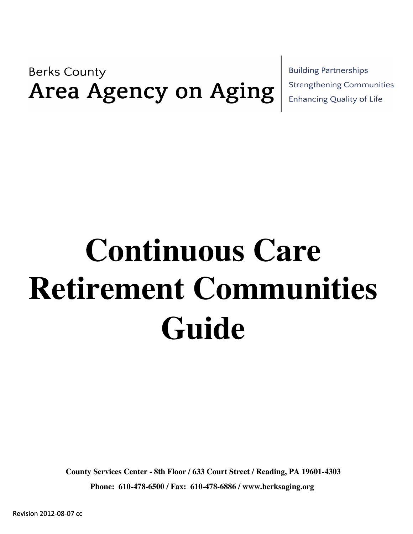**Berks County** Area Agency on Aging **Building Partnerships Strengthening Communities** Enhancing Quality of Life

## **Continuous Care Guide Retirement Communities**

**Phone: 610-478-6500 / Fax: 610-478-6886 / www.berksaging.org County Services Center - 8th Floor / 633 Court Street / Reading, PA 19601-4303**

Revision 2012-08-07 cc